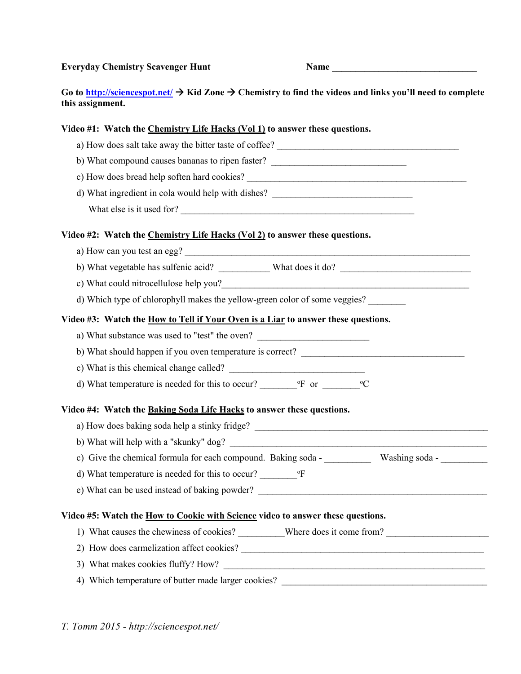Everyday Chemistry Scavenger Hunt Name

Go to http://sciencespot.net/  $\rightarrow$  Kid Zone  $\rightarrow$  Chemistry to find the videos and links you'll need to complete this assignment.

## Video #1: Watch the Chemistry Life Hacks (Vol 1) to answer these questions.

a) How does salt take away the bitter taste of coffee? b) What compound causes bananas to ripen faster? c) How does bread help soften hard cookies? d) What ingredient in cola would help with dishes? What else is it used for? Video #2: Watch the Chemistry Life Hacks (Vol 2) to answer these questions. a) How can you test an egg? b) What vegetable has sulfenic acid? What does it do? c) What could nitrocellulose help you? d) Which type of chlorophyll makes the yellow-green color of some veggies? Video #3: Watch the How to Tell if Your Oven is a Liar to answer these questions. a) What substance was used to "test" the oven? b) What should happen if you oven temperature is correct? c) What is this chemical change called? d) What temperature is needed for this to occur?  $\degree$  or  $\degree$  or  $\degree$   $\degree$  C Video #4: Watch the Baking Soda Life Hacks to answer these questions. a) How does baking soda help a stinky fridge? b) What will help with a "skunky" dog? c) Give the chemical formula for each compound. Baking soda - Washing soda d) What temperature is needed for this to occur? The <sup>o</sup>F e) What can be used instead of baking powder? Video #5: Watch the How to Cookie with Science video to answer these questions. 1) What causes the chewiness of cookies? Where does it come from? 2) How does carmelization affect cookies?

- 3) What makes cookies fluffy? How?
- 4) Which temperature of butter made larger cookies?